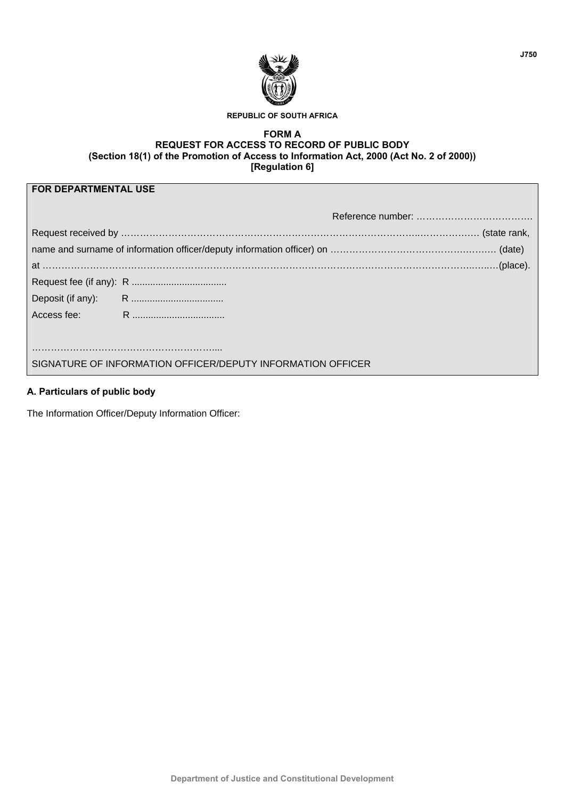

#### **REPUBLIC OF SOUTH AFRICA**

#### **FORM A REQUEST FOR ACCESS TO RECORD OF PUBLIC BODY (Section 18(1) of the Promotion of Access to Information Act, 2000 (Act No. 2 of 2000)) [Regulation 6]**

| <b>FOR DEPARTMENTAL USE</b>                                 |  |  |  |  |  |  |  |
|-------------------------------------------------------------|--|--|--|--|--|--|--|
|                                                             |  |  |  |  |  |  |  |
|                                                             |  |  |  |  |  |  |  |
|                                                             |  |  |  |  |  |  |  |
|                                                             |  |  |  |  |  |  |  |
|                                                             |  |  |  |  |  |  |  |
|                                                             |  |  |  |  |  |  |  |
|                                                             |  |  |  |  |  |  |  |
|                                                             |  |  |  |  |  |  |  |
|                                                             |  |  |  |  |  |  |  |
| SIGNATURE OF INFORMATION OFFICER/DEPUTY INFORMATION OFFICER |  |  |  |  |  |  |  |

# **A. Particulars of public body**

The Information Officer/Deputy Information Officer: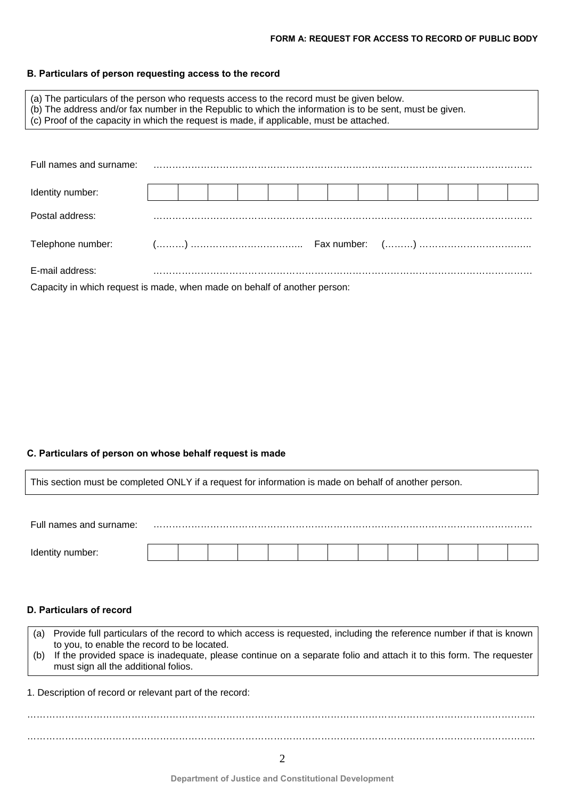## **B. Particulars of person requesting access to the record**

| (a) The particulars of the person who requests access to the record must be given below.<br>(b) The address and/or fax number in the Republic to which the information is to be sent, must be given.<br>(c) Proof of the capacity in which the request is made, if applicable, must be attached. |  |  |  |  |  |  |  |  |  |  |  |
|--------------------------------------------------------------------------------------------------------------------------------------------------------------------------------------------------------------------------------------------------------------------------------------------------|--|--|--|--|--|--|--|--|--|--|--|
|                                                                                                                                                                                                                                                                                                  |  |  |  |  |  |  |  |  |  |  |  |
| Full names and surname:                                                                                                                                                                                                                                                                          |  |  |  |  |  |  |  |  |  |  |  |
| Identity number:                                                                                                                                                                                                                                                                                 |  |  |  |  |  |  |  |  |  |  |  |
| Postal address:                                                                                                                                                                                                                                                                                  |  |  |  |  |  |  |  |  |  |  |  |
| Telephone number:                                                                                                                                                                                                                                                                                |  |  |  |  |  |  |  |  |  |  |  |
| E-mail address:                                                                                                                                                                                                                                                                                  |  |  |  |  |  |  |  |  |  |  |  |
| Capacity in which request is made, when made on behalf of another person:                                                                                                                                                                                                                        |  |  |  |  |  |  |  |  |  |  |  |

# **C. Particulars of person on whose behalf request is made**

| This section must be completed ONLY if a request for information is made on behalf of another person.                                                                                                                                                                                                                                           |  |  |  |  |  |  |  |  |  |  |
|-------------------------------------------------------------------------------------------------------------------------------------------------------------------------------------------------------------------------------------------------------------------------------------------------------------------------------------------------|--|--|--|--|--|--|--|--|--|--|
|                                                                                                                                                                                                                                                                                                                                                 |  |  |  |  |  |  |  |  |  |  |
| Full names and surname:                                                                                                                                                                                                                                                                                                                         |  |  |  |  |  |  |  |  |  |  |
|                                                                                                                                                                                                                                                                                                                                                 |  |  |  |  |  |  |  |  |  |  |
|                                                                                                                                                                                                                                                                                                                                                 |  |  |  |  |  |  |  |  |  |  |
| D. Particulars of record                                                                                                                                                                                                                                                                                                                        |  |  |  |  |  |  |  |  |  |  |
| Provide full particulars of the record to which access is requested, including the reference number if that is known<br>(a)<br>to you, to enable the record to be located.<br>If the provided space is inadequate, please continue on a separate folio and attach it to this form. The requester<br>(b)<br>must sign all the additional folios. |  |  |  |  |  |  |  |  |  |  |
| 1. Description of record or relevant part of the record:                                                                                                                                                                                                                                                                                        |  |  |  |  |  |  |  |  |  |  |
|                                                                                                                                                                                                                                                                                                                                                 |  |  |  |  |  |  |  |  |  |  |
| 2                                                                                                                                                                                                                                                                                                                                               |  |  |  |  |  |  |  |  |  |  |
|                                                                                                                                                                                                                                                                                                                                                 |  |  |  |  |  |  |  |  |  |  |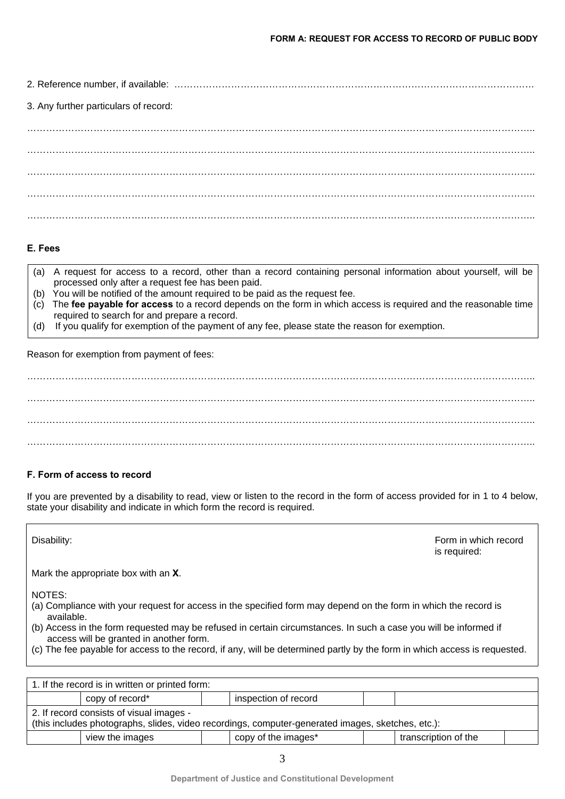2. Reference number, if available: …………………………………………………………………………………………………… 3. Any further particulars of record: …………………………………………………………………………………………………………………………………………….. ……………………………………………………………………………………………………………………………………………..

…………………………………………………………………………………………………………………………………………….. …………………………………………………………………………………………………………………………………………….. ……………………………………………………………………………………………………………………………………………..

# **E. Fees**

- (a) A request for access to a record, other than a record containing personal information about yourself, will be processed only after a request fee has been paid.
- (b) You will be notified of the amount required to be paid as the request fee.
- (c) The **fee payable for access** to a record depends on the form in which access is required and the reasonable time required to search for and prepare a record.
- (d) If you qualify for exemption of the payment of any fee, please state the reason for exemption.

Reason for exemption from payment of fees:

…………………………………………………………………………………………………………………………………………….. …………………………………………………………………………………………………………………………………………….. …………………………………………………………………………………………………………………………………………….. ……………………………………………………………………………………………………………………………………………..

# **F. Form of access to record**

If you are prevented by a disability to read, view or listen to the record in the form of access provided for in 1 to 4 below, state your disability and indicate in which form the record is required.

Disability: Form in which record is required:

Mark the appropriate box with an **X**.

NOTES:

- (a) Compliance with your request for access in the specified form may depend on the form in which the record is available.
- (b) Access in the form requested may be refused in certain circumstances. In such a case you will be informed if access will be granted in another form.
- (c) The fee payable for access to the record, if any, will be determined partly by the form in which access is requested.

| 1. If the record is in written or printed form:                                                                                               |                 |  |                      |  |                      |  |  |  |
|-----------------------------------------------------------------------------------------------------------------------------------------------|-----------------|--|----------------------|--|----------------------|--|--|--|
|                                                                                                                                               | copy of record* |  | inspection of record |  |                      |  |  |  |
| 2. If record consists of visual images -<br>(this includes photographs, slides, video recordings, computer-generated images, sketches, etc.): |                 |  |                      |  |                      |  |  |  |
|                                                                                                                                               | view the images |  | copy of the images*  |  | transcription of the |  |  |  |